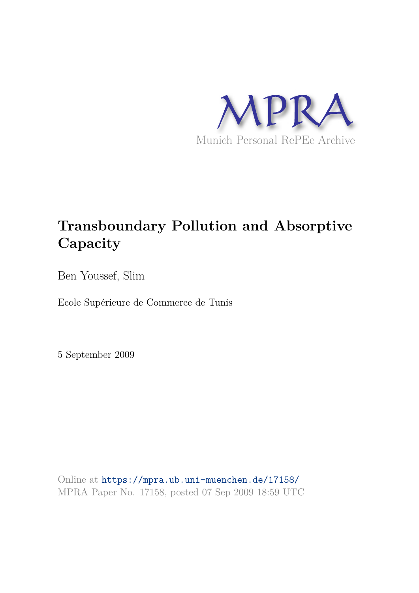

# **Transboundary Pollution and Absorptive Capacity**

Ben Youssef, Slim

Ecole Supérieure de Commerce de Tunis

5 September 2009

Online at https://mpra.ub.uni-muenchen.de/17158/ MPRA Paper No. 17158, posted 07 Sep 2009 18:59 UTC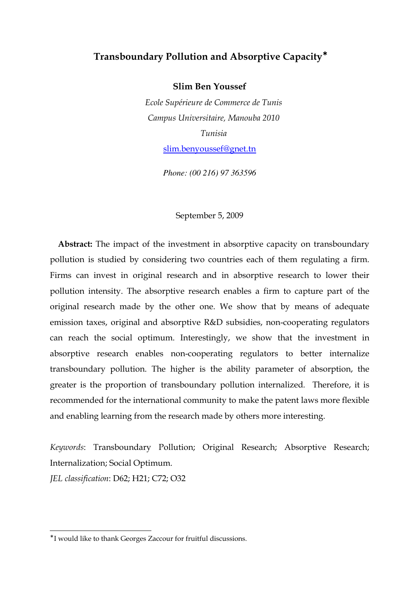## $\bf{Transboundary\,$  Pollution and Absorptive Capacity $^*$

**Slim Ben Youssef** 

Ecole Supérieure de Commerce de Tunis Campus Universitaire, Manouba 2010 *Tunisia* slim.benyoussef@gnet.tn

*Phone: (00 216) 97 363596* 

## September 5, 2009

**Abstract:** The impact of the investment in absorptive capacity on transboundary pollution is studied by considering two countries each of them regulating a firm. Firms can invest in original research and in absorptive research to lower their pollution intensity. The absorptive research enables a firm to capture part of the original research made by the other one. We show that by means of adequate emission taxes, original and absorptive R&D subsidies, non-cooperating regulators can reach the social optimum. Interestingly, we show that the investment in absorptive research enables non-cooperating regulators to better internalize transboundary pollution. The higher is the ability parameter of absorption, the greater is the proportion of transboundary pollution internalized. Therefore, it is recommended for the international community to make the patent laws more flexible and enabling learning from the research made by others more interesting.

Keywords: Transboundary Pollution; Original Research; Absorptive Research; Internalization; Social Optimum.

*!" -#-* : D62; H21; C72; O32

 $\overline{a}$ 

<sup>∗</sup> I would like to thank Georges Zaccour for fruitful discussions.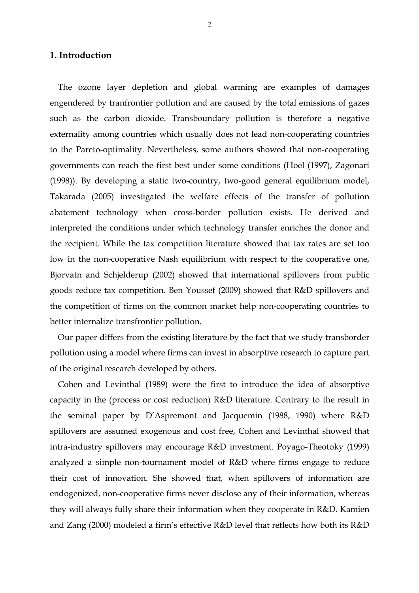## 1. Introduction

The ozone layer depletion and global warming are examples of damages engendered by tranfrontier pollution and are caused by the total emissions of gazes such as the carbon dioxide. Transboundary pollution is therefore a negative externality among countries which usually does not lead non-cooperating countries to the Pareto-optimality. Nevertheless, some authors showed that non-cooperating governments can reach the first best under some conditions (Hoel (1997), Zagonari (1998)). By developing a static two-country, two-good general equilibrium model, Takarada (2005) investigated the welfare effects of the transfer of pollution abatement technology when cross-border pollution exists. He derived and interpreted the conditions under which technology transfer enriches the donor and the recipient. While the tax competition literature showed that tax rates are set too low in the non-cooperative Nash equilibrium with respect to the cooperative one, Bjorvatn and Schjelderup (2002) showed that international spillovers from public goods reduce tax competition. Ben Youssef (2009) showed that R&D spillovers and the competition of firms on the common market help non'cooperating countries to better internalize transfrontier pollution.

Our paper differs from the existing literature by the fact that we study transborder pollution using a model where firms can invest in absorptive research to capture part of the original research developed by others.

Cohen and Levinthal (1989) were the first to introduce the idea of absorptive capacity in the (process or cost reduction) R&D literature. Contrary to the result in the seminal paper by D'Aspremont and Jacquemin (1988, 1990) where R&D spillovers are assumed exogenous and cost free, Cohen and Levinthal showed that intra-industry spillovers may encourage R&D investment. Poyago-Theotoky (1999) analyzed a simple non-tournament model of R&D where firms engage to reduce their cost of innovation. She showed that, when spillovers of information are endogenized, non-cooperative firms never disclose any of their information, whereas they will always fully share their information when they cooperate in R&D. Kamien and Zang (2000) modeled a firm's effective R&D level that reflects how both its R&D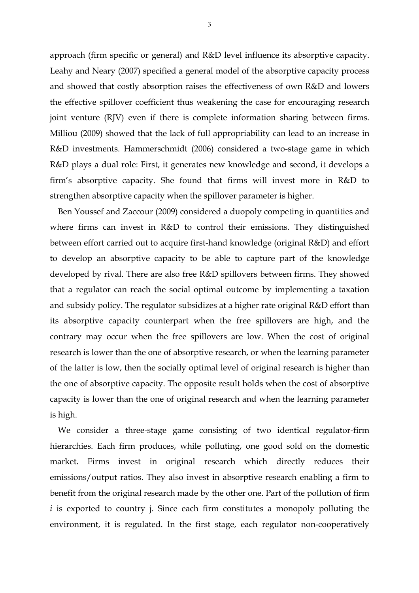approach (firm specific or general) and R&D level influence its absorptive capacity. Leahy and Neary (2007) specified a general model of the absorptive capacity process and showed that costly absorption raises the effectiveness of own R&D and lowers the effective spillover coefficient thus weakening the case for encouraging research joint venture (RJV) even if there is complete information sharing between firms. Milliou (2009) showed that the lack of full appropriability can lead to an increase in R&D investments. Hammerschmidt (2006) considered a two-stage game in which R&D plays a dual role: First, it generates new knowledge and second, it develops a firm's absorptive capacity. She found that firms will invest more in R&D to strengthen absorptive capacity when the spillover parameter is higher.

Ben Youssef and Zaccour (2009) considered a duopoly competing in quantities and where firms can invest in R&D to control their emissions. They distinguished between effort carried out to acquire first-hand knowledge (original R&D) and effort to develop an absorptive capacity to be able to capture part of the knowledge developed by rival. There are also free R&D spillovers between firms. They showed that a regulator can reach the social optimal outcome by implementing a taxation and subsidy policy. The regulator subsidizes at a higher rate original R&D effort than its absorptive capacity counterpart when the free spillovers are high, and the contrary may occur when the free spillovers are low. When the cost of original research is lower than the one of absorptive research, or when the learning parameter of the latter is low, then the socially optimal level of original research is higher than the one of absorptive capacity. The opposite result holds when the cost of absorptive capacity is lower than the one of original research and when the learning parameter is high.

We consider a three-stage game consisting of two identical regulator-firm hierarchies. Each firm produces, while polluting, one good sold on the domestic market. Firms invest in original research which directly reduces their emissions/output ratios. They also invest in absorptive research enabling a firm to benefit from the original research made by the other one. Part of the pollution of firm *i* is exported to country *j*. Since each firm constitutes a monopoly polluting the environment, it is regulated. In the first stage, each regulator non-cooperatively

3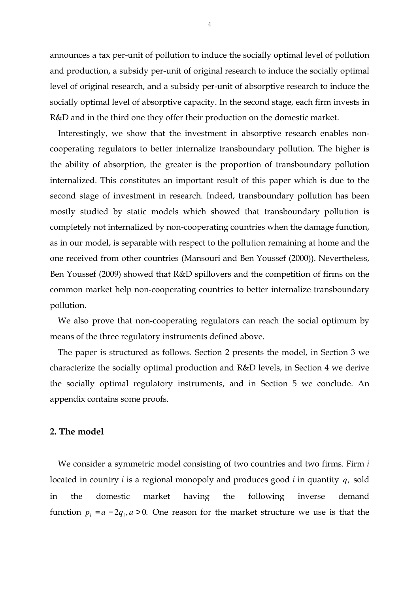announces a tax per-unit of pollution to induce the socially optimal level of pollution and production, a subsidy per-unit of original research to induce the socially optimal level of original research, and a subsidy per-unit of absorptive research to induce the socially optimal level of absorptive capacity. In the second stage, each firm invests in R&D and in the third one they offer their production on the domestic market.

Interestingly, we show that the investment in absorptive research enables non' cooperating regulators to better internalize transboundary pollution. The higher is the ability of absorption, the greater is the proportion of transboundary pollution internalized. This constitutes an important result of this paper which is due to the second stage of investment in research. Indeed, transboundary pollution has been mostly studied by static models which showed that transboundary pollution is completely not internalized by non'cooperating countries when the damage function, as in our model, is separable with respect to the pollution remaining at home and the one received from other countries (Mansouri and Ben Youssef (2000)). Nevertheless, Ben Youssef (2009) showed that R&D spillovers and the competition of firms on the common market help non-cooperating countries to better internalize transboundary pollution.

We also prove that non-cooperating regulators can reach the social optimum by means of the three regulatory instruments defined above.

The paper is structured as follows. Section 2 presents the model, in Section 3 we characterize the socially optimal production and R&D levels, in Section 4 we derive the socially optimal regulatory instruments, and in Section 5 we conclude. An appendix contains some proofs.

## 2. The model

We consider a symmetric model consisting of two countries and two firms. Firm  located in country  $i$  is a regional monopoly and produces good  $i$  in quantity  $q_i$  sold in the domestic market having the following inverse demand function  $p_i = a - 2q_i$ ,  $a > 0$ . One reason for the market structure we use is that the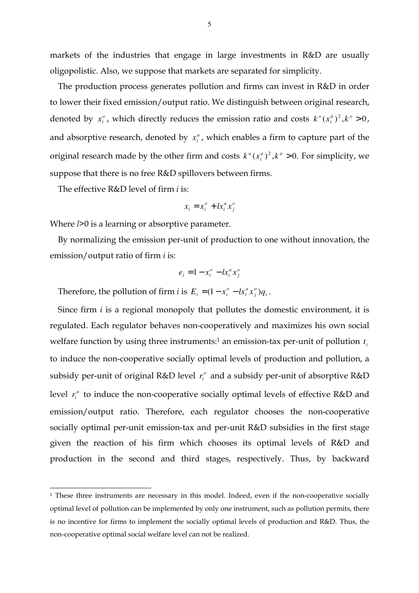markets of the industries that engage in large investments in R&D are usually oligopolistic. Also, we suppose that markets are separated for simplicity.

The production process generates pollution and firms can invest in R&D in order to lower their fixed emission/output ratio. We distinguish between original research, denoted by  $x_i^o$ , which directly reduces the emission ratio and costs  $k^o(x_i^a)^2, k^o > 0$ *i*  $k^{o}(x_i^{\hat{a}})^2, k^{o} > 0$ , and absorptive research, denoted by  $x_i^a$ , which enables a firm to capture part of the original research made by the other firm and costs  $k^a (x_i^a)^2, k^a > 0$ . *i*  $k^a$  $(x_i^a)^2$ , $k^a > 0$ . For simplicity, we suppose that there is no free R&D spillovers between firms.

The effective R&D level of firm  is:

 $\overline{a}$ 

$$
x_i = x_i^o + l x_i^a x_j^o
$$

Where  $l > 0$  is a learning or absorptive parameter.

By normalizing the emission per-unit of production to one without innovation, the emission/output ratio of firm  is:

$$
e_i = 1 - x_i^o - l x_i^a x_j^o
$$

Therefore, the pollution of firm *i* is  $E_i = (1 - x_i^o - l x_i^a x_j^o) q_i$ *j a*  $E_i = (1 - x_i^o - l x_i^a x_j^o) q_i$ .

Since firm *i* is a regional monopoly that pollutes the domestic environment, it is regulated. Each regulator behaves non-cooperatively and maximizes his own social welfare function by using three instruments:<sup>1</sup> an emission-tax per-unit of pollution  $t_i$ to induce the non'cooperative socially optimal levels of production and pollution, a subsidy per-unit of original R&D level  $r_i^o$  and a subsidy per-unit of absorptive R&D level  $r_i^a$  to induce the non-cooperative socially optimal levels of effective R&D and emission/output ratio. Therefore, each regulator chooses the non-cooperative socially optimal per-unit emission-tax and per-unit R&D subsidies in the first stage given the reaction of his firm which chooses its optimal levels of R&D and production in the second and third stages, respectively. Thus, by backward

<sup>1</sup> These three instruments are necessary in this model. Indeed, even if the non'cooperative socially optimal level of pollution can be implemented by only one instrument, such as pollution permits, there is no incentive for firms to implement the socially optimal levels of production and R&D. Thus, the non'cooperative optimal social welfare level can not be realized.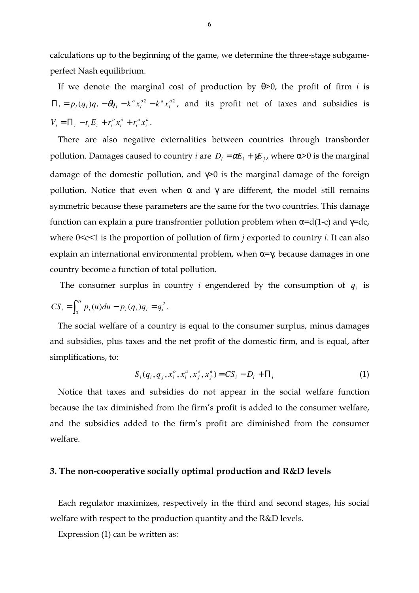calculations up to the beginning of the game, we determine the three-stage subgameperfect Nash equilibrium.

If we denote the marginal cost of production by  $\theta$ >0, the profit of firm *i* is  $(q_i)q_i - \theta q_i - k^{\circ} x_i^{\circ 2} - k^{\circ} x_i^{\circ 2}$ *i*  $\varphi$  *a*  $\iota$ *i*  $\Pi_i = p_i(q_i)q_i - \theta q_i - k^{\circ} x_i^{\circ 2} - k^{\alpha} x_i^{\circ 2}$ , and its profit net of taxes and subsidies is *a i a i o i*  $V_i = \prod_i -t_i E_i + r_i^o x_i^o + r_i^a x_i^a$ .

There are also negative externalities between countries through transborder pollution. Damages caused to country *i* are  $D_i = \alpha E_i + \gamma E_i$ , where  $\alpha > 0$  is the marginal damage of the domestic pollution, and  $\gamma$ >0 is the marginal damage of the foreign pollution. Notice that even when α and γ are different, the model still remains symmetric because these parameters are the same for the two countries. This damage function can explain a pure transfrontier pollution problem when  $\alpha = d(1-c)$  and  $\gamma = dc$ , where  $0 < c < 1$  is the proportion of pollution of firm *i* exported to country *i*. It can also explain an international environmental problem, when  $\alpha = \gamma$ , because damages in one country become a function of total pollution.

The consumer surplus in country *i* engendered by the consumption of  $q_i$  is 2  $\int_0^{\pi} p_i(u) du - p_i(q_i) q_i = q_i$  $CS_i = \int_0^{q_i} p_i(u) du - p_i(q_i) q_i = q_i^2$ .

The social welfare of a country is equal to the consumer surplus, minus damages and subsidies, plus taxes and the net profit of the domestic firm, and is equal, after simplifications, to:

$$
S_i(q_i, q_j, x_i^o, x_i^a, x_j^o, x_j^a) = CS_i - D_i + \Pi_i
$$
\n(1)

Notice that taxes and subsidies do not appear in the social welfare function because the tax diminished from the firm's profit is added to the consumer welfare, and the subsidies added to the firm's profit are diminished from the consumer welfare.

## 3. The non-cooperative socially optimal production and R&D levels

Each regulator maximizes, respectively in the third and second stages, his social welfare with respect to the production quantity and the R&D levels.

Expression (1) can be written as: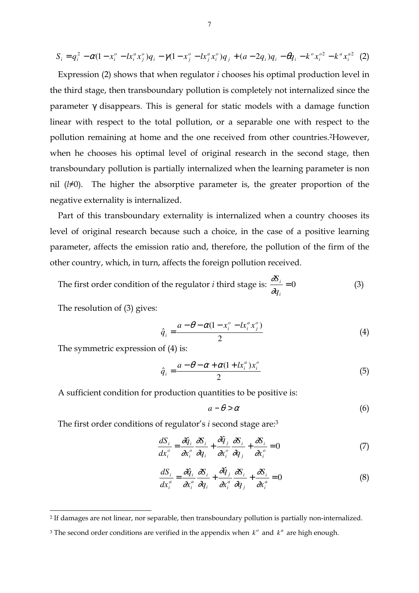$$
S_i = q_i^2 - \alpha (1 - x_i^o - l x_i^a x_j^o) q_i - \gamma (1 - x_j^o - l x_j^a x_i^o) q_j + (a - 2q_i) q_i - \theta q_i - k^o x_i^{o2} - k^a x_i^{o2} \tag{2}
$$

Expression (2) shows that when regulator  chooses his optimal production level in the third stage, then transboundary pollution is completely not internalized since the parameter γ disappears. This is general for static models with a damage function linear with respect to the total pollution, or a separable one with respect to the pollution remaining at home and the one received from other countries.<sup>2</sup>However, when he chooses his optimal level of original research in the second stage, then transboundary pollution is partially internalized when the learning parameter is non nil  $(l\neq 0)$ . The higher the absorptive parameter is, the greater proportion of the negative externality is internalized.

Part of this transboundary externality is internalized when a country chooses its level of original research because such a choice, in the case of a positive learning parameter, affects the emission ratio and, therefore, the pollution of the firm of the other country, which, in turn, affects the foreign pollution received.

The first order condition of the regulator *i* third stage is:  $\frac{3S_i}{2} = 0$ *i i q S* ∂ ∂ (3)

The resolution of (3) gives:

 $\overline{a}$ 

$$
\hat{q}_i = \frac{a - \theta - \alpha (1 - x_i^o - l x_i^a x_j^o)}{2} \tag{4}
$$

The symmetric expression of (4) is:

$$
\hat{q}_i = \frac{a - \theta - \alpha + \alpha (1 + lx_i^a) x_i^o}{2} \tag{5}
$$

A sufficient condition for production quantities to be positive is:

$$
a - \theta > \alpha \tag{6}
$$

The first order conditions of regulator's *i* second stage are:<sup>3</sup>

$$
\frac{dS_i}{dx_i^o} = \frac{\partial \hat{q}_i}{\partial x_i^o} \frac{\partial S_i}{\partial q_i} + \frac{\partial \hat{q}_j}{\partial x_i^o} \frac{\partial S_i}{\partial q_j} + \frac{\partial S_i}{\partial x_i^o} = 0
$$
\n(7)

$$
\frac{dS_i}{dx_i^a} = \frac{\partial \hat{q}_i}{\partial x_i^a} \frac{\partial S_i}{\partial q_i} + \frac{\partial \hat{q}_j}{\partial x_i^a} \frac{\partial S_i}{\partial q_j} + \frac{\partial S_i}{\partial x_i^a} = 0
$$
\n(8)

<sup>2</sup> If damages are not linear, nor separable, then transboundary pollution is partially non'internalized.

<sup>&</sup>lt;sup>3</sup> The second order conditions are verified in the appendix when  $k^o$  and  $k^a$  are high enough.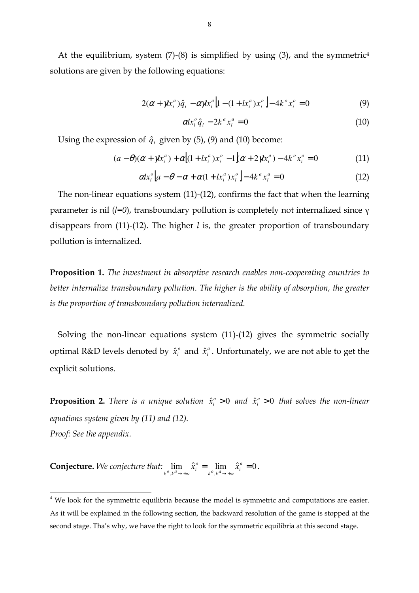At the equilibrium, system  $(7)-(8)$  is simplified by using  $(3)$ , and the symmetric<sup>4</sup> solutions are given by the following equations:

$$
2(\alpha + \gamma k_i^a) \hat{q}_i - \alpha \gamma k_i^a \left[ 1 - (1 + k_i^a) x_i^o \right] - 4k^o x_i^o = 0 \tag{9}
$$

$$
\alpha x_i^o \hat{q}_i - 2k^a x_i^a = 0 \tag{10}
$$

Using the expression of  $\hat{q}_i$  given by (5), (9) and (10) become:

$$
(a - \theta)(\alpha + \gamma x_i^a) + \alpha \Big[ (1 + x_i^a) x_i^o - 1 \Big] (\alpha + 2 \gamma x_i^a) - 4k^o x_i^o = 0 \tag{11}
$$

$$
\alpha l x_i^o \left[ a - \theta - \alpha + \alpha (1 + l x_i^a) x_i^o \right] - 4 k^a x_i^a = 0 \tag{12}
$$

The non-linear equations system  $(11)-(12)$ , confirms the fact that when the learning parameter is nil (*l*=0), transboundary pollution is completely not internalized since γ disappears from  $(11)-(12)$ . The higher *l* is, the greater proportion of transboundary pollution is internalized.

**Proposition 1.** The investment in absorptive research enables non-cooperating countries to better internalize transboundary pollution. The higher is the ability of absorption, the greater is the proportion of transboundary pollution internalized.

Solving the non-linear equations system  $(11)-(12)$  gives the symmetric socially optimal R&D levels denoted by  $\hat{x}^{\circ}_i$  and  $\hat{x}^{\circ}_i$ . Unfortunately, we are not able to get the explicit solutions.

**Proposition 2.** There is a unique solution  $\hat{x}_i^o > 0$  $\hat{x}^{\circ}_i > 0$  and  $\hat{x}^{\circ}_i > 0$  $\hat{x}^a_i > 0$  that solves the non-linear equations system given by (11) and (12). Proof: See the appendix.

**Conjecture.** We conjecture that:  $\lim_{k^o, k^a \to \infty} \hat{x}_i^o = \lim_{k^o, k^a \to \infty} \hat{x}_i^a = 0$  $\rightarrow +\infty$   $k^{\prime\prime}, k^{\prime\prime} \rightarrow +\infty$ *a*  $\lim_{k \to \infty} \frac{\lambda_i}{k}$ *o*  $\lim_{k^o,k^a\to+\infty}\hat{x}_i^o=\lim_{k^o,k^a\to+\infty}\hat{x}_i^a=0.$ 

 $\overline{a}$ 

<sup>&</sup>lt;sup>4</sup> We look for the symmetric equilibria because the model is symmetric and computations are easier. As it will be explained in the following section, the backward resolution of the game is stopped at the second stage. Tha's why, we have the right to look for the symmetric equilibria at this second stage.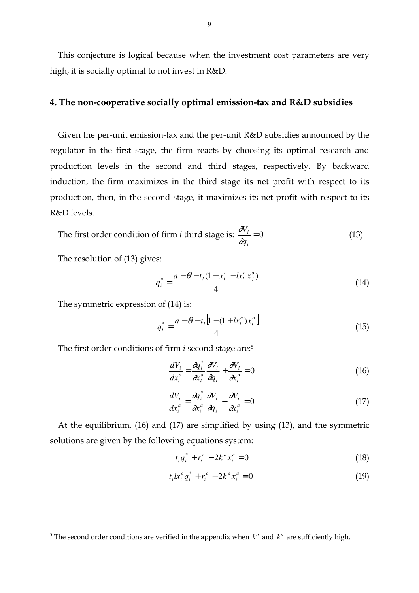This conjecture is logical because when the investment cost parameters are very high, it is socially optimal to not invest in R&D.

## **4. The non-cooperative socially optimal emission-tax and R&D subsidies**  $\,$

Given the per-unit emission-tax and the per-unit R&D subsidies announced by the regulator in the first stage, the firm reacts by choosing its optimal research and production levels in the second and third stages, respectively. By backward induction, the firm maximizes in the third stage its net profit with respect to its production, then, in the second stage, it maximizes its net profit with respect to its R&D levels.

The first order condition of firm *i* third stage is: 
$$
\frac{\partial V_i}{\partial q_i} = 0
$$
 (13)

The resolution of (13) gives:

 $\overline{a}$ 

$$
q_i^* = \frac{a - \theta - t_i (1 - x_i^o - l x_i^a x_j^o)}{4}
$$
 (14)

The symmetric expression of (14) is:

$$
q_i^* = \frac{a - \theta - t_i \left[1 - (1 + lx_i^a)x_i^o\right]}{4} \tag{15}
$$

The first order conditions of firm *i* second stage are:<sup>5</sup>

$$
\frac{dV_i}{dx_i^o} = \frac{\partial q_i^*}{\partial x_i^o} \frac{\partial V_i}{\partial q_i} + \frac{\partial V_i}{\partial x_i^o} = 0
$$
\n(16)

$$
\frac{dV_i}{dx_i^a} = \frac{\partial q_i^*}{\partial x_i^a} \frac{\partial V_i}{\partial q_i} + \frac{\partial V_i}{\partial x_i^a} = 0
$$
\n(17)

At the equilibrium, (16) and (17) are simplified by using (13), and the symmetric solutions are given by the following equations system:

$$
t_i q_i^* + r_i^o - 2k^o x_i^o = 0 \tag{18}
$$

$$
t_i x_i^o q_i^* + r_i^a - 2k^a x_i^a = 0 \tag{19}
$$

<sup>&</sup>lt;sup>5</sup> The second order conditions are verified in the appendix when  $k^o$  and  $k^a$  are sufficiently high.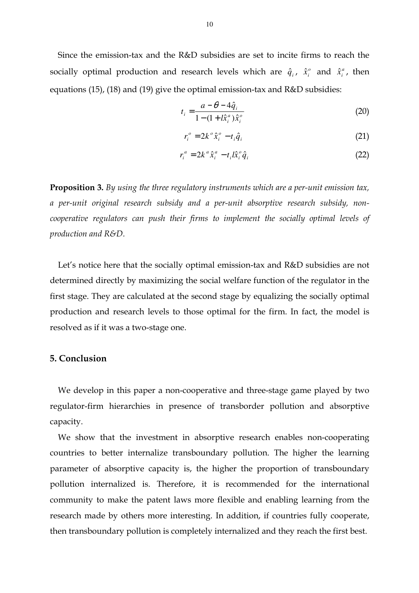Since the emission-tax and the  $R&D$  subsidies are set to incite firms to reach the socially optimal production and research levels which are  $\hat{q}_i$ ,  $\hat{x}_i^o$  $\hat{x}^{\circ}_i$  and  $\hat{x}^{\circ}_i$ , then equations (15), (18) and (19) give the optimal emission-tax and  $R&D$  subsidies:

$$
t_i = \frac{a - \theta - 4\hat{q}_i}{1 - (1 + i\hat{x}_i^a)\hat{x}_i^o}
$$
 (20)

$$
r_i^o = 2k^o \hat{x}_i^o - t_i \hat{q}_i \tag{21}
$$

$$
r_i^a = 2k^a \hat{x}_i^a - t_i \hat{x}_i^o \hat{q}_i \tag{22}
$$

**Proposition 3.** By using the three regulatory instruments which are a per-unit emission tax, a per-unit original research subsidy and a per-unit absorptive research subsidy, noncooperative regulators can push their firms to implement the socially optimal levels of  *-
234*

Let's notice here that the socially optimal emission-tax and R&D subsidies are not determined directly by maximizing the social welfare function of the regulator in the first stage. They are calculated at the second stage by equalizing the socially optimal production and research levels to those optimal for the firm. In fact, the model is resolved as if it was a two-stage one.

## **)**

We develop in this paper a non-cooperative and three-stage game played by two regulator-firm hierarchies in presence of transborder pollution and absorptive capacity.

We show that the investment in absorptive research enables non-cooperating countries to better internalize transboundary pollution. The higher the learning parameter of absorptive capacity is, the higher the proportion of transboundary pollution internalized is. Therefore, it is recommended for the international community to make the patent laws more flexible and enabling learning from the research made by others more interesting. In addition, if countries fully cooperate, then transboundary pollution is completely internalized and they reach the first best.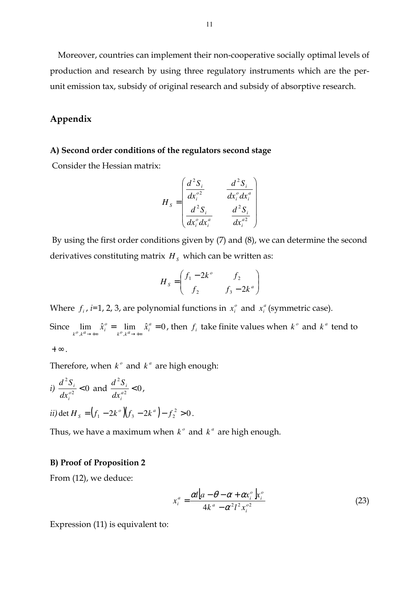Moreover, countries can implement their non-cooperative socially optimal levels of production and research by using three regulatory instruments which are the per' unit emission tax, subsidy of original research and subsidy of absorptive research.

## Appendix

### A) Second order conditions of the regulators second stage

Consider the Hessian matrix:

$$
H_s = \begin{pmatrix} \frac{d^2S_i}{dx_i^{o2}} & \frac{d^2S_i}{dx_i^o dx_i^a} \\ \frac{d^2S_i}{dx_i^o dx_i^a} & \frac{d^2S_i}{dx_i^{o2}} \end{pmatrix}
$$

 By using the first order conditions given by (7) and (8), we can determine the second derivatives constituting matrix  $H_s$  which can be written as:

$$
H_s = \begin{pmatrix} f_1 - 2k^o & f_2 \\ f_2 & f_3 - 2k^a \end{pmatrix}
$$

Where  $f_i$ , *i*=1, 2, 3, are polynomial functions in  $x_i^o$  and  $x_i^a$  (symmetric case).

Since  $\lim_{k^o,k^a\to\infty}\hat{x}_i^o = \lim_{k^o,k^a\to\infty}\hat{x}_i^a = 0$  $\rightarrow +\infty$   $k^{\prime\prime}, k^{\prime\prime} \rightarrow +\infty$ *a*  $\lim_{k \to +\infty} \frac{\lambda_i}{k}$ *o*  $\lim_{k^o,k^a\to+\infty} \hat{x}_i^o = \lim_{k^o,k^a\to+\infty} \hat{x}_i^a = 0$ , then  $f_i$  take finite values when  $k^o$  and  $k^a$  tend to  $+ \infty$ .

Therefore, when  $k^{\circ}$  and  $k^{\alpha}$  are high enough:

*i)* 
$$
\frac{d^2S_i}{dx_i^{o2}} < 0
$$
 and  $\frac{d^2S_i}{dx_i^{o2}} < 0$ ,  
\n*ii)* det  $H_s = (f_1 - 2k^o)(f_3 - 2k^a) - f_2^2 > 0$ .

Thus, we have a maximum when  $k^{\circ}$  and  $k^{\circ}$  are high enough.

#### B) Proof of Proposition 2

From (12), we deduce:

$$
x_i^a = \frac{\alpha l \left[a - \theta - \alpha + \alpha x_i^o \right] x_i^o}{4k^a - \alpha^2 l^2 x_i^{o2}}
$$
 (23)

Expression (11) is equivalent to: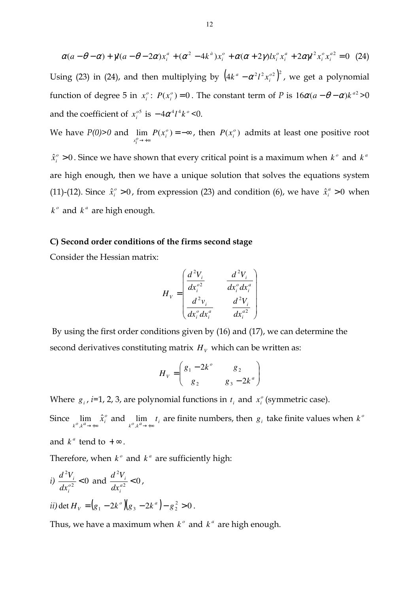$(a - \theta - \alpha) + \gamma(a - \theta - 2\alpha)x_i^a + (\alpha^2 - 4k^a)x_i^b + \alpha(\alpha + 2\gamma)k_i^b x_i^a + 2\alpha\gamma^2 x_i^b x_i^{a^2} = 0$ *i o i a i o i o i*  $\alpha(a - \theta - \alpha) + \gamma(a - \theta - 2\alpha)x_i^a + (\alpha^2 - 4k^a)x_i^b + \alpha(\alpha + 2\gamma)k_i^b x_i^a + 2\alpha\gamma^2 x_i^b x_i^{a^2} = 0$  (24) Using (23) in (24), and then multiplying by  $\left(4k^a - \alpha^2 l^2 x_i^{o2}\right)^2$ *i*  $k^a - \alpha^2 l^2 x_i^{o2}$ , we get a polynomial function of degree 5 in  $x_i^o$ :  $P(x_i^o) = 0$ . The constant term of *P* is  $16\alpha(a - \theta - \alpha)k^{a^2} > 0$ and the coefficient of  $x_i^{0.5}$  is  $-4\alpha^4 l^4 k^0$  <0.

We have  $P(0)$ >0 and  $\lim_{x_i^o \to +\infty} P(x_i^o) = -\infty$  $\lim P(x_i^o)$  $\lim_{x_i^o \to \infty} P(x_i^o) = -\infty$ , then  $P(x_i^o)$  admits at least one positive root  $\hat{x}_{i}^{\circ} > 0$  $\hat{x}^{\circ}_i > 0$ . Since we have shown that every critical point is a maximum when  $k^{\circ}$  and  $k^{\circ}$ are high enough, then we have a unique solution that solves the equations system  $(11)-(12)$ . Since  $\hat{x}^{\circ}_i > 0$  $\hat{x}^{\circ}_i > 0$ , from expression (23) and condition (6), we have  $\hat{x}^{\alpha}_i > 0$  $\hat{x}^a_i > 0$  when  $k^{\circ}$  and  $k^{\circ}$  are high enough.

#### C) Second order conditions of the firms second stage

Consider the Hessian matrix:

$$
H_v = \begin{pmatrix} \frac{d^2 V_i}{dx_i^{o2}} & \frac{d^2 V_i}{dx_i^o dx_i^a} \\ \frac{d^2 v_i}{dx_i^o dx_i^a} & \frac{d^2 V_i}{dx_i^{o2}} \end{pmatrix}
$$

 By using the first order conditions given by (16) and (17), we can determine the second derivatives constituting matrix  $H_V$  which can be written as:

$$
H_{V} = \begin{pmatrix} g_{1} - 2k^{o} & g_{2} \\ g_{2} & g_{3} - 2k^{a} \end{pmatrix}
$$

Where  $g_i$ , *i*=1, 2, 3, are polynomial functions in  $t_i$  and  $x_i^o$  (symmetric case).

Since  $\lim_{k^o,k^a\to+\infty} \hat{x}_i^o$ lim *x*ˆ  $\lim_{k \to \infty} \hat{x}_i^o$  and  $\lim_{k \to \infty} t_i$ *t* lim<sub>*k*<sup>*a*</sup>→∗∞</sub>*t*<sub>*i*</sub> are finite numbers, then *g*<sub>*i*</sub> take finite values when *k*<sup>*o*</sup>

and  $k^a$  tend to  $+\infty$ .

Therefore, when  $k^{\circ}$  and  $k^{\alpha}$  are sufficiently high:

*i)* 
$$
\frac{d^2 V_i}{dx_i^{o2}} < 0
$$
 and  $\frac{d^2 V_i}{dx_i^{a2}} < 0$ ,  
\n*ii*) det  $H_V = (g_1 - 2k^o)(g_3 - 2k^a) - g_2^2 > 0$ .

Thus, we have a maximum when  $k^{\circ}$  and  $k^{\circ}$  are high enough.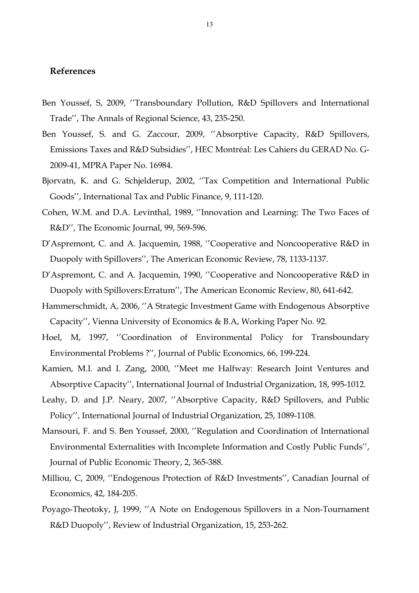## <u>References</u>

- Ben Youssef, S, 2009, ''Transboundary Pollution, R&D Spillovers and International Trade", The Annals of Regional Science, 43, 235-250.
- Ben Youssef, S. and G. Zaccour, 2009, ''Absorptive Capacity, R&D Spillovers, Emissions Taxes and R&D Subsidies'', HEC Montréal: Les Cahiers du GERAD No. G' 2009-41, MPRA Paper No. 16984.
- Bjorvatn, K. and G. Schjelderup, 2002, ''Tax Competition and International Public Goods", International Tax and Public Finance, 9, 111-120.
- Cohen, W.M. and D.A. Levinthal, 1989, ''Innovation and Learning: The Two Faces of R&D", The Economic Journal, 99, 569-596.
- D'Aspremont, C. and A. Jacquemin, 1988, ''Cooperative and Noncooperative R&D in Duopoly with Spillovers'', The American Economic Review, 78, 1133-1137.
- D'Aspremont, C. and A. Jacquemin, 1990, ''Cooperative and Noncooperative R&D in Duopoly with Spillovers: Erratum", The American Economic Review, 80, 641-642.
- Hammerschmidt, A, 2006, ''A Strategic Investment Game with Endogenous Absorptive Capacity'', Vienna University of Economics & B.A, Working Paper No. 92.
- Hoel, M, 1997, ''Coordination of Environmental Policy for Transboundary Environmental Problems ?", Journal of Public Economics, 66, 199-224.

Kamien, M.I. and I. Zang, 2000, ''Meet me Halfway: Research Joint Ventures and Absorptive Capacity", International Journal of Industrial Organization, 18, 995-1012.

- Leahy, D. and J.P. Neary, 2007, ''Absorptive Capacity, R&D Spillovers, and Public Policy", International Journal of Industrial Organization, 25, 1089-1108.
- Mansouri, F. and S. Ben Youssef, 2000, ''Regulation and Coordination of International Environmental Externalities with Incomplete Information and Costly Public Funds'', Journal of Public Economic Theory, 2, 365-388.
- Milliou, C, 2009, ''Endogenous Protection of R&D Investments'', Canadian Journal of Economics, 42, 184-205.
- Poyago-Theotoky, J, 1999, "A Note on Endogenous Spillovers in a Non-Tournament R&D Duopoly", Review of Industrial Organization, 15, 253-262.